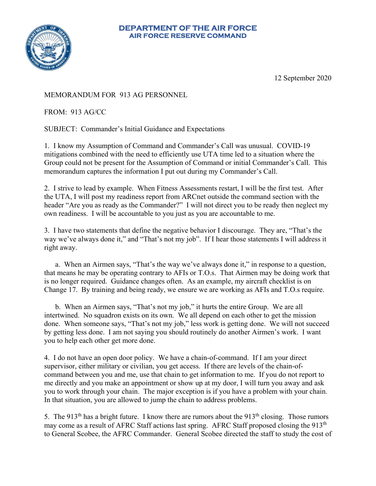## **DEPARTMENT OF THE AIR FORCE AIR FORCE RESERVE COMMAND**



12 September 2020

## MEMORANDUM FOR 913 AG PERSONNEL

FROM: 913 AG/CC

SUBJECT: Commander's Initial Guidance and Expectations

1. I know my Assumption of Command and Commander's Call was unusual. COVID-19 mitigations combined with the need to efficiently use UTA time led to a situation where the Group could not be present for the Assumption of Command or initial Commander's Call. This memorandum captures the information I put out during my Commander's Call.

2. I strive to lead by example. When Fitness Assessments restart, I will be the first test. After the UTA, I will post my readiness report from ARCnet outside the command section with the header "Are you as ready as the Commander?" I will not direct you to be ready then neglect my own readiness. I will be accountable to you just as you are accountable to me.

3. I have two statements that define the negative behavior I discourage. They are, "That's the way we've always done it," and "That's not my job". If I hear those statements I will address it right away.

a. When an Airmen says, "That's the way we've always done it," in response to a question, that means he may be operating contrary to AFIs or T.O.s. That Airmen may be doing work that is no longer required. Guidance changes often. As an example, my aircraft checklist is on Change 17. By training and being ready, we ensure we are working as AFIs and T.O.s require.

b. When an Airmen says, "That's not my job," it hurts the entire Group. We are all intertwined. No squadron exists on its own. We all depend on each other to get the mission done. When someone says, "That's not my job," less work is getting done. We will not succeed by getting less done. I am not saying you should routinely do another Airmen's work. I want you to help each other get more done.

4. I do not have an open door policy. We have a chain-of-command. If I am your direct supervisor, either military or civilian, you get access. If there are levels of the chain-ofcommand between you and me, use that chain to get information to me. If you do not report to me directly and you make an appointment or show up at my door, I will turn you away and ask you to work through your chain. The major exception is if you have a problem with your chain. In that situation, you are allowed to jump the chain to address problems.

5. The  $913<sup>th</sup>$  has a bright future. I know there are rumors about the  $913<sup>th</sup>$  closing. Those rumors may come as a result of AFRC Staff actions last spring. AFRC Staff proposed closing the 913<sup>th</sup> to General Scobee, the AFRC Commander. General Scobee directed the staff to study the cost of